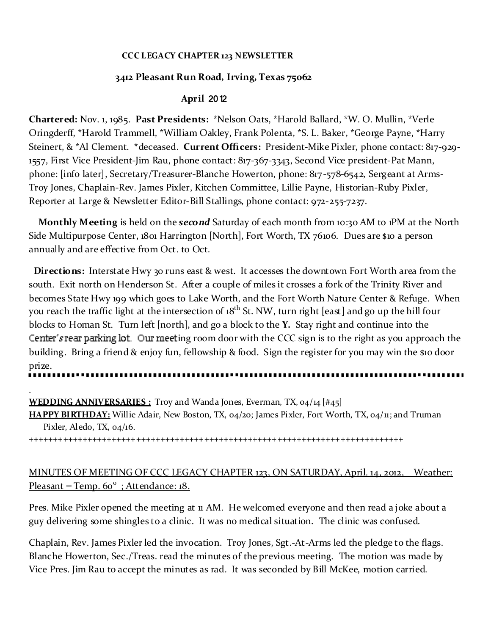### **CCC LEGACY CHAPTER 123 NEWSLETTER**

# **3412 Pleasant Run Road, Irving, Texas 75062**

# **April** 2012

**Chartered:** Nov. 1, 1985. **Past Presidents:** \*Nelson Oats, \*Harold Ballard, \*W. O. Mullin, \*Verle Oringderff, \*Harold Trammell, \*William Oakley, Frank Polenta, \*S. L. Baker, \*George Payne, \*Harry Steinert, & \*Al Clement. \*deceased. **Current Officers:** President-Mike Pixler, phone contact: 817-929- 1557, First Vice President-Jim Rau, phone contact: 817-367-3343, Second Vice president-Pat Mann, phone: [info later], Secretary/Treasurer-Blanche Howerton, phone: 817-578-6542, Sergeant at Arms-Troy Jones, Chaplain-Rev. James Pixler, Kitchen Committee, Lillie Payne, Historian-Ruby Pixler, Reporter at Large & Newsletter Editor-Bill Stallings, phone contact: 972-255-7237.

**Monthly Meeting** is held on the *second* Saturday of each month from 10:30 AM to 1PM at the North Side Multipurpose Center, 1801 Harrington [North], Fort Worth, TX 76106. Dues are \$10 a person annually and are effective from Oct. to Oct.

**Directions:** Interstate Hwy 30 runs east & west. It accesses the downtown Fort Worth area from the south. Exit north on Henderson St. After a couple of miles it crosses a fork of the Trinity River and becomes State Hwy 199 which goes to Lake Worth, and the Fort Worth Nature Center & Refuge. When you reach the traffic light at the intersection of 18<sup>th</sup> St. NW, turn right [east] and go up the hill four blocks to Homan St. Turn left [north], and go a block to the **Y.** Stay right and continue into the Center's rear parking lot. Our meeting room door with the CCC sign is to the right as you approach the building. Bring a friend & enjoy fun, fellowship & food. Sign the register for you may win the \$10 door prize.

. **WEDDING ANNIVERSARIES :** Troy and Wanda Jones, Everman, TX, 04/14 [#45] **HAPPY BIRTHDAY:** Willie Adair, New Boston, TX, 04/20; James Pixler, Fort Worth, TX, 04/11; and Truman Pixler, Aledo, TX, 04/16.

+++++++++++++++++++++++++++++++++++++++++++++++++++++++++++++++++++++++++++++

# MINUTES OF MEETING OF CCC LEGACY CHAPTER 123, ON SATURDAY, April. 14, 2012, Weather: Pleasant – Temp. 60<sup>°</sup>; Attendance: 18.

Pres. Mike Pixler opened the meeting at 11 AM. He welcomed everyone and then read a joke about a guy delivering some shingles to a clinic. It was no medical situation. The clinic was confused.

Chaplain, Rev. James Pixler led the invocation. Troy Jones, Sgt.-At-Arms led the pledge to the flags. Blanche Howerton, Sec./Treas. read the minutes of the previous meeting. The motion was made by Vice Pres. Jim Rau to accept the minutes as rad. It was seconded by Bill McKee, motion carried.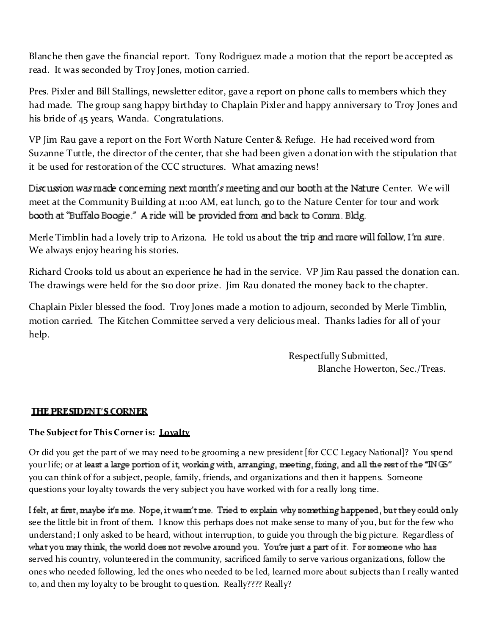Blanche then gave the financial report. Tony Rodriguez made a motion that the report be accepted as read. It was seconded by Troy Jones, motion carried.

Pres. Pixler and Bill Stallings, newsletter editor, gave a report on phone calls to members which they had made. The group sang happy birthday to Chaplain Pixler and happy anniversary to Troy Jones and his bride of 45 years, Wanda. Congratulations.

VP Jim Rau gave a report on the Fort Worth Nature Center & Refuge. He had received word from Suzanne Tuttle, the director of the center, that she had been given a donation with the stipulation that it be used for restoration of the CCC structures. What amazing news!

Discussion was made concerning next month's meeting and our booth at the Nature Center. We will meet at the Community Building at 11:00 AM, eat lunch, go to the Nature Center for tour and work booth at "Buffalo Boogie." A ride will be provided from and back to Comm. Bldg.

Merle Timblin had a lovely trip to Arizona. He told us about the trip and more will follow I'm sure. We always enjoy hearing his stories.

Richard Crooks told us about an experience he had in the service. VP Jim Rau passed the donation can. The drawings were held for the \$10 door prize. Jim Rau donated the money back to the chapter.

Chaplain Pixler blessed the food. Troy Jones made a motion to adjourn, seconded by Merle Timblin, motion carried. The Kitchen Committee served a very delicious meal. Thanks ladies for all of your help.

> Respectfully Submitted, Blanche Howerton, Sec./Treas.

# **THE PRESIDENT'S CORNER**

### **The Sub ject for This Corner is: Loyalty**

Or did you get the part of we may need to be grooming a new president [for CCC Legacy National]? You spend your life; or at least a large portion of it, working with, arranging, meeting, fixing, and all the rest of the " $\rm ING$ " you can think of for a subject, people, family, friends, and organizations and then it happens. Someone questions your loyalty towards the very subject you have worked with for a really long time.

I felt, at first, maybe it's me. Nope, it wasn't me. Tried to explain why something happened, but they could only see the little bit in front of them. I know this perhaps does not make sense to many of you, but for the few who understand; I only asked to be heard, without interruption, to guide you through the big picture. Regardless of what you may think, the world does not revolve around you. You're just a part of it. For someone who has served his country, volunteered in the community, sacrificed family to serve various organizations, follow the ones who needed following, led the ones who needed to be led, learned more about subjects than I really wanted to, and then my loyalty to be brought to question. Really???? Really?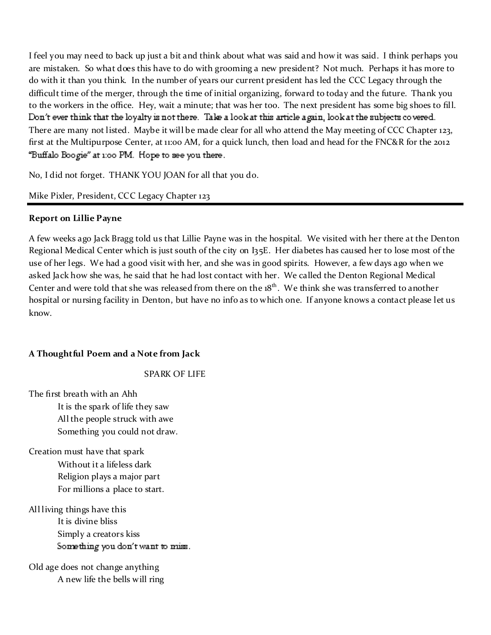I feel you may need to back up just a bit and think about what was said and how it was said. I think perhaps you are mistaken. So what does this have to do with grooming a new president? Not much. Perhaps it has more to do with it than you think. In the number of years our current president has led the CCC Legacy through the difficult time of the merger, through the time of initial organizing, forward to today and the future. Thank you to the workers in the office. Hey, wait a minute; that was her too. The next president has some big shoes to fill. Don't ever think that the loyalty is not there. Take a look at this article again, look at the subjects covered. There are many not listed. Maybe it will be made clear for all who attend the May meeting of CCC Chapter 123, first at the Multipurpose Center, at 11:00 AM, for a quick lunch, then load and head for the FNC&R for the 2012 "Buffalo Boogie" at 1:00 PM. Hope to see you there.

No, I did not forget. THANK YOU JOAN for all that you do.

# Mike Pixler, President, CCC Legacy Chapter 123

### **Report on Lillie Payne**

A few weeks ago Jack Bragg told us that Lillie Payne was in the hospital. We visited with her there at the Denton Regional Medical Center which is just south of the city on I35E. Her diabetes has caused her to lose most of the use of her legs. We had a good visit with her, and she was in good spirits. However, a few days ago when we asked Jack how she was, he said that he had lost contact with her. We called the Denton Regional Medical Center and were told that she was released from there on the  $18<sup>th</sup>$ . We think she was transferred to another hospital or nursing facility in Denton, but have no info as to which one. If anyone knows a contact please let us know.

# **A Thoughtful Poem and a Note from Jack**

### SPARK OF LIFE

The first breath with an Ahh It is the spark of life they saw All the people struck with awe Something you could not draw.

Creation must have that spark Without it a lifeless dark Religion plays a major part For millions a place to start.

All living things have this It is divine bliss Simply a creators kiss Something you don't want to miss.

Old age does not change anything A new life the bells will ring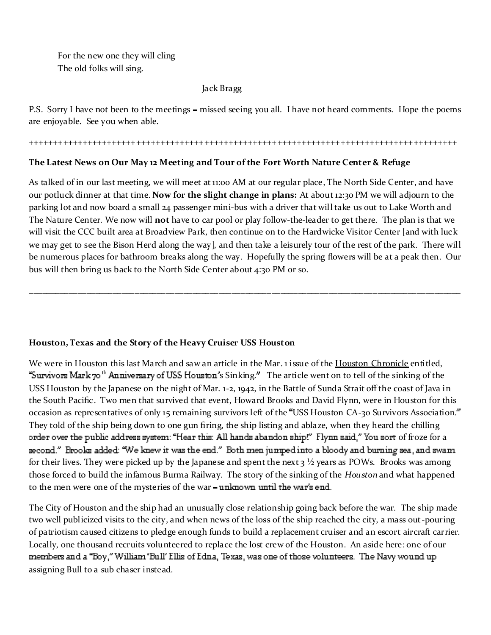For the new one they will cling The old folks will sing.

#### Jack Bragg

P.S. Sorry I have not been to the meetings – missed seeing you all. I have not heard comments. Hope the poems are enjoyable. See you when able.

#### ++++++++++++++++++++++++++++++++++++++++++++++++++++++++++++++++++++++++++++++++++++++++

### **The Latest News on Our May 12 Meeting and Tour of the Fort Worth Nature Center & Refuge**

As talked of in our last meeting, we will meet at 11:00 AM at our regular place, The North Side Center, and have our potluck dinner at that time. **Now for the slight change in plans:** At about 12:30 PM we will adjourn to the parking lot and now board a small 24 passenger mini-bus with a driver that will take us out to Lake Worth and The Nature Center. We now will **not** have to car pool or play follow-the-leader to get there. The plan is that we will visit the CCC built area at Broadview Park, then continue on to the Hardwicke Visitor Center [and with luck we may get to see the Bison Herd along the way], and then take a leisurely tour of the rest of the park. There will be numerous places for bathroom breaks along the way. Hopefully the spring flowers will be at a peak then. Our bus will then bring us back to the North Side Center about 4:30 PM or so.

\_\_\_\_\_\_\_\_\_\_\_\_\_\_\_\_\_\_\_\_\_\_\_\_\_\_\_\_\_\_\_\_\_\_\_\_\_\_\_\_\_\_\_\_\_\_\_\_\_\_\_\_\_\_\_\_\_\_\_\_\_\_\_\_\_\_\_\_\_\_\_\_\_\_\_\_\_\_\_\_\_\_\_\_\_\_\_\_\_\_\_\_\_\_\_\_\_\_

#### **Houston, Texas and the Story of the Heavy Cruiser USS Houston**

We were in Houston this last March and saw an article in the Mar. 1 issue of the Houston Chronicle entitled, "Survivors Mark  $\tau$ <sup>th</sup> Anniversary of USS Houston's Sinking." The article went on to tell of the sinking of the USS Houston by the Japanese on the night of Mar. 1-2, 1942, in the Battle of Sunda Strait off the coast of Java in the South Pacific. Two men that survived that event, Howard Brooks and David Flynn, were in Houston for this occasion as representatives of only 15 remaining survivors left of the USS Houston CA-30 Survivors Association. They told of the ship being down to one gun firing, the ship listing and ablaze, when they heard the chilling order over the public address system: "Hear this: All hands abandon ship!" Flynn said," You sort of froze for a second." Brooks added: "We knew it was the end." Both men jumped into a bloody and burning sea, and swam for their lives. They were picked up by the Japanese and spent the next  $3\frac{1}{2}$  years as POWs. Brooks was among those forced to build the infamous Burma Railway. The story of the sinking of the *H ouston* and what happened to the men were one of the mysteries of the war - unknown until the war's end.

The City of Houston and the ship had an unusually close relationship going back before the war. The ship made two well publicized visits to the city, and when news of the loss of the ship reached the city, a mass out-pouring of patriotism caused citizens to pledge enough funds to build a replacement cruiser and an escort aircraft carrier. Locally, one thousand recruits volunteered to replace the lost crew of the Houston. An aside here: one of our members and a "Boy," William 'Bull' Ellis of Edna, Texas, was one of those volunteers. The Navy wound up assigning Bull to a sub chaser instead.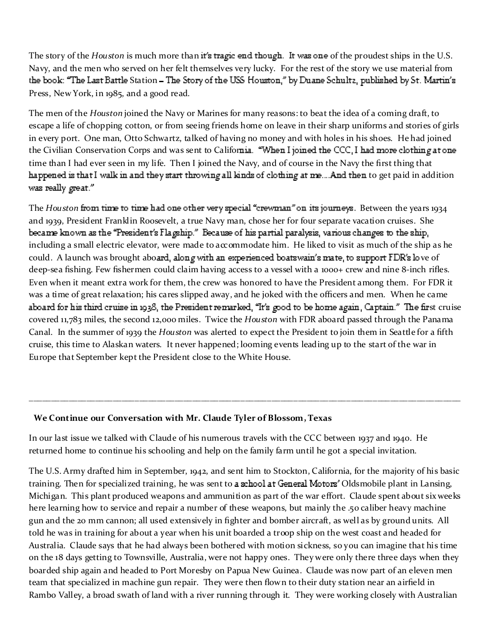The story of the *Houston* is much more than it's tragic end though. It was one of the proudest ships in the U.S. Navy, and the men who served on her felt themselves very lucky. For the rest of the story we use material from the book: "The Last Battle Station - The Story of the USS Houston," by Duane Schultz, published by St. Martin's Press, New York, in 1985, and a good read.

The men of the *Houston* joined the Navy or Marines for many reasons: to beat the idea of a coming draft, to escape a life of chopping cotton, or from seeing friends home on leave in their sharp uniforms and stories of girls in every port. One man, Otto Schwartz, talked of having no money and with holes in his shoes. He had joined the Civilian Conservation Corps and was sent to California. "When I joined the CCC, I had more clothing at one time than I had ever seen in my life. Then I joined the Navy, and of course in the Navy the first thing that happened is that I walk in and they start throwing all kinds of clothing at me....And then to get paid in addition was really great."

The *Houston* from time to time had one other very special "crewman" on its journeys. Between the years 1934 and 1939, President Franklin Roosevelt, a true Navy man, chose her for four separate vacation cruises. She became known as the "President's Flagship." Because of his partial paralysis, various changes to the ship, including a small electric elevator, were made to accommodate him. He liked to visit as much of the ship as he could. A launch was brought aboard, along with an experienced boatswain's mate, to support FDR's love of deep-sea fishing. Few fishermen could claim having access to a vessel with a 1000+ crew and nine 8-inch rifles. Even when it meant extra work for them, the crew was honored to have the President among them. For FDR it was a time of great relaxation; his cares slipped away, and he joked with the officers and men. When he came aboard for his third cruise in 1938, the President remarked, "It's good to be home again, Captain." The first cruise covered 11,783 miles, the second 12,000 miles. Twice the *H ouston* with FDR aboard passed through the Panama Canal. In the summer of 1939 the *H ouston* was alerted to expect the President to join them in Seattle for a fifth cruise, this time to Alaskan waters. It never happened; looming events leading up to the start of the war in Europe that September kept the President close to the White House.

\_\_\_\_\_\_\_\_\_\_\_\_\_\_\_\_\_\_\_\_\_\_\_\_\_\_\_\_\_\_\_\_\_\_\_\_\_\_\_\_\_\_\_\_\_\_\_\_\_\_\_\_\_\_\_\_\_\_\_\_\_\_\_\_\_\_\_\_\_\_\_\_\_\_\_\_\_\_\_\_\_\_\_\_\_\_\_\_\_\_\_\_\_\_\_\_\_\_

#### **We Continue our Conversation with Mr. Claude Tyler of Blossom , Texas**

In our last issue we talked with Claude of his numerous travels with the CCC between 1937 and 1940. He returned home to continue his schooling and help on the family farm until he got a special invitation.

The U.S. Army drafted him in September, 1942, and sent him to Stockton, California, for the majority of his basic training. Then for specialized training, he was sent to a school at General Motors' Oldsmobile plant in Lansing, Michigan. This plant produced weapons and ammunition as part of the war effort. Claude spent about six weeks here learning how to service and repair a number of these weapons, but mainly the .50 caliber heavy machine gun and the 20 mm cannon; all used extensively in fighter and bomber aircraft, as well as by ground units. All told he was in training for about a year when his unit boarded a troop ship on the west coast and headed for Australia. Claude says that he had always been bothered with motion sickness, so you can imagine that his time on the 18 days getting to Townsville, Australia, were not happy ones. They were only there three days when they boarded ship again and headed to Port Moresby on Papua New Guinea. Claude was now part of an eleven men team that specialized in machine gun repair. They were then flown to their duty station near an airfield in Rambo Valley, a broad swath of land with a river running through it. They were working closely with Australian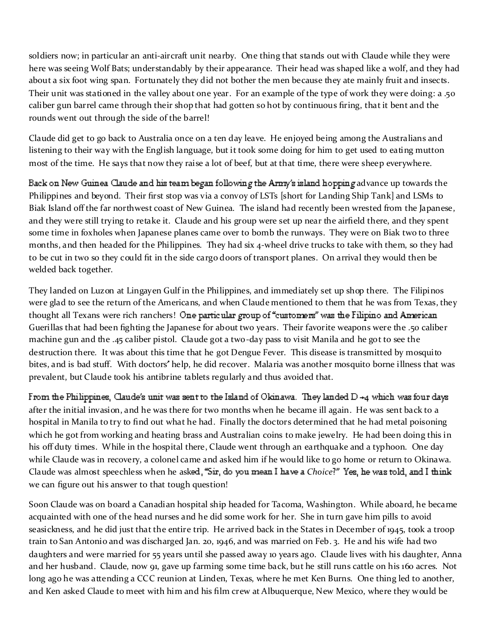soldiers now; in particular an anti-aircraft unit nearby. One thing that stands out with Claude while they were here was seeing Wolf Bats; understandably by their appearance. Their head was shaped like a wolf, and they had about a six foot wing span. Fortunately they did not bother the men because they ate mainly fruit and insects. Their unit was stationed in the valley about one year. For an example of the type of work they were doing: a .50 caliber gun barrel came through their shop that had gotten so hot by continuous firing, that it bent and the rounds went out through the side of the barrel!

Claude did get to go back to Australia once on a ten day leave. He enjoyed being among the Australians and listening to their way with the English language, but it took some doing for him to get used to eating mutton most of the time. He says that now they raise a lot of beef, but at that time, there were sheep everywhere.

Back on New Guinea Claude and his team began following the Army's island hopping advance up towards the Philippines and beyond. Their first stop was via a convoy of LSTs [short for Landing Ship Tank] and LSMs to Biak Island off the far northwest coast of New Guinea. The island had recently been wrested from the Japanese, and they were still trying to retake it. Claude and his group were set up near the airfield there, and they spent some time in foxholes when Japanese planes came over to bomb the runways. They were on Biak two to three months, and then headed for the Philippines. They had six 4-wheel drive trucks to take with them, so they had to be cut in two so they could fit in the side cargo doors of transport planes. On arrival they would then be welded back together.

They landed on Luzon at Lingayen Gulf in the Philippines, and immediately set up shop there. The Filipinos were glad to see the return of the Americans, and when Claude mentioned to them that he was from Texas, they thought all Texans were rich ranchers! One particular group of "customers" was the Filipino and American Guerillas that had been fighting the Japanese for about two years. Their favorite weapons were the .50 caliber machine gun and the .45 caliber pistol. Claude got a two-day pass to visit Manila and he got to see the destruction there. It was about this time that he got Dengue Fever. This disease is transmitted by mosquito bites, and is bad stuff. With doctors help, he did recover. Malaria was another mosquito borne illness that was prevalent, but Claude took his antibrine tablets regularly and thus avoided that.

From the Philippines, Claude's unit was sent to the Island of Okinawa. They landed  $D + 4$  which was four days after the initial invasion, and he was there for two months when he became ill again. He was sent back to a hospital in Manila to try to find out what he had. Finally the doctors determined that he had metal poisoning which he got from working and heating brass and Australian coins to make jewelry. He had been doing this in his off duty times. While in the hospital there, Claude went through an earthquake and a typhoon. One day while Claude was in recovery, a colonel came and asked him if he would like to go home or return to Okinawa. Claude was almost speechless when he asked, "Sir, do you mean I have a Choice?" Yes, he was told, and I think we can figure out his answer to that tough question!

Soon Claude was on board a Canadian hospital ship headed for Tacoma, Washington. While aboard, he became acquainted with one of the head nurses and he did some work for her. She in turn gave him pills to avoid seasickness, and he did just that the entire trip. He arrived back in the States in December of 1945, took a troop train to San Antonio and was discharged Jan. 20, 1946, and was married on Feb. 3. He and his wife had two daughters and were married for 55 years until she passed away 10 years ago. Claude lives with his daughter, Anna and her husband. Claude, now 91, gave up farming some time back, but he still runs cattle on his 160 acres. Not long ago he was attending a CCC reunion at Linden, Texas, where he met Ken Burns. One thing led to another, and Ken asked Claude to meet with him and his film crew at Albuquerque, New Mexico, where they would be